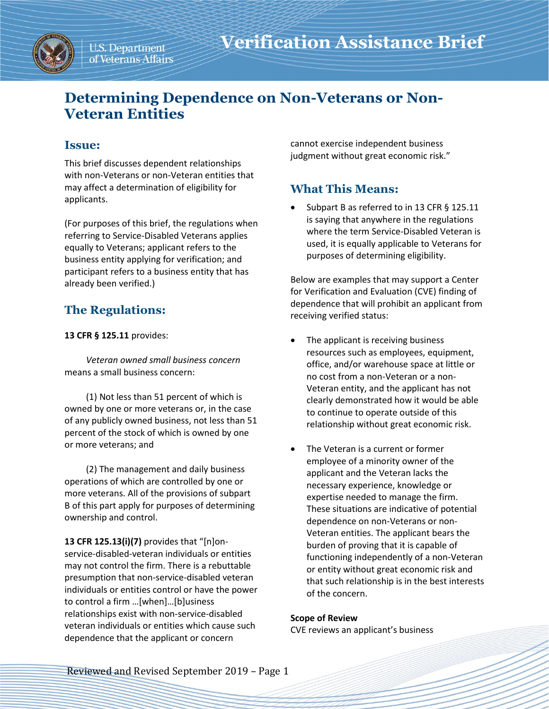

# **Determining Dependence on Non-Veterans or Non-Veteran Entities**

## **Issue:**

This brief discusses dependent relationships with non-Veterans or non-Veteran entities that may affect a determination of eligibility for applicants.

(For purposes of this brief, the regulations when referring to Service-Disabled Veterans applies equally to Veterans; applicant refers to the business entity applying for verification; and participant refers to a business entity that has already been verified.)

# **The Regulations:**

### **13 CFR § 125.11** provides:

*Veteran owned small business concern* means a small business concern:

(1) Not less than 51 percent of which is owned by one or more veterans or, in the case of any publicly owned business, not less than 51 percent of the stock of which is owned by one or more veterans; and

(2) The management and daily business operations of which are controlled by one or more veterans. All of the provisions of subpart B of this part apply for purposes of determining ownership and control.

**13 CFR 125.13(i)(7)** provides that "[n]onservice-disabled-veteran individuals or entities may not control the firm. There is a rebuttable presumption that non-service-disabled veteran individuals or entities control or have the power to control a firm …[when]…[b]usiness relationships exist with non-service-disabled veteran individuals or entities which cause such dependence that the applicant or concern

cannot exercise independent business judgment without great economic risk."

# **What This Means:**

Subpart B as referred to in 13 CFR § 125.11 is saying that anywhere in the regulations where the term Service-Disabled Veteran is used, it is equally applicable to Veterans for purposes of determining eligibility.

Below are examples that may support a Center for Verification and Evaluation (CVE) finding of dependence that will prohibit an applicant from receiving verified status:

- The applicant is receiving business resources such as employees, equipment, office, and/or warehouse space at little or no cost from a non-Veteran or a non-Veteran entity, and the applicant has not clearly demonstrated how it would be able to continue to operate outside of this relationship without great economic risk.
- The Veteran is a current or former employee of a minority owner of the applicant and the Veteran lacks the necessary experience, knowledge or expertise needed to manage the firm. These situations are indicative of potential dependence on non-Veterans or non-Veteran entities. The applicant bears the burden of proving that it is capable of functioning independently of a non-Veteran or entity without great economic risk and that such relationship is in the best interests of the concern.

#### **Scope of Review**

CVE reviews an applicant's business